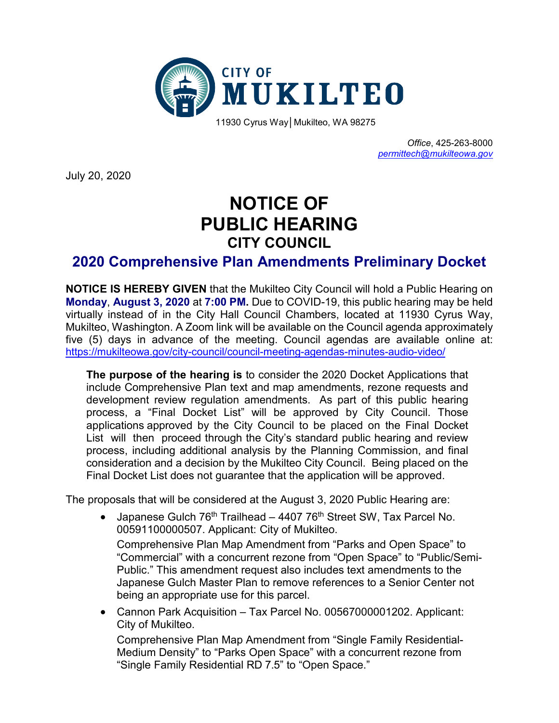

*Office*, 425-263-8000 *[permittech@mukilteowa.gov](mailto:permittech@mukilteowa.gov)*

July 20, 2020

## **NOTICE OF PUBLIC HEARING CITY COUNCIL**

## **2020 Comprehensive Plan Amendments Preliminary Docket**

**NOTICE IS HEREBY GIVEN** that the Mukilteo City Council will hold a Public Hearing on **Monday**, **August 3, 2020** at **7:00 PM.** Due to COVID-19, this public hearing may be held virtually instead of in the City Hall Council Chambers, located at 11930 Cyrus Way, Mukilteo, Washington. A Zoom link will be available on the Council agenda approximately five (5) days in advance of the meeting. Council agendas are available online at: [https://mukilteowa.gov/city](https://mukilteowa.gov/city-council/council-meeting-agendas-minutes-audio-video/)-council/council-meeting-agendas-minutes-audio-video/

**The purpose of the hearing is** to consider the 2020 Docket Applications that include Comprehensive Plan text and map amendments, rezone requests and development review regulation amendments. As part of this public hearing process, a "Final Docket List" will be approved by City Council. Those applications approved by the City Council to be placed on the Final Docket List will then proceed through the City's standard public hearing and review process, including additional analysis by the Planning Commission, and final consideration and a decision by the Mukilteo City Council. Being placed on the Final Docket List does not guarantee that the application will be approved.

The proposals that will be considered at the August 3, 2020 Public Hearing are:

• Japanese Gulch  $76<sup>th</sup>$  Trailhead – 4407  $76<sup>th</sup>$  Street SW, Tax Parcel No. 00591100000507. Applicant: City of Mukilteo.

Comprehensive Plan Map Amendment from "Parks and Open Space" to "Commercial" with a concurrent rezone from "Open Space" to "Public/Semi-Public." This amendment request also includes text amendments to the Japanese Gulch Master Plan to remove references to a Senior Center not being an appropriate use for this parcel.

• Cannon Park Acquisition – Tax Parcel No. 00567000001202. Applicant: City of Mukilteo.

Comprehensive Plan Map Amendment from "Single Family Residential-Medium Density" to "Parks Open Space" with a concurrent rezone from "Single Family Residential RD 7.5" to "Open Space."